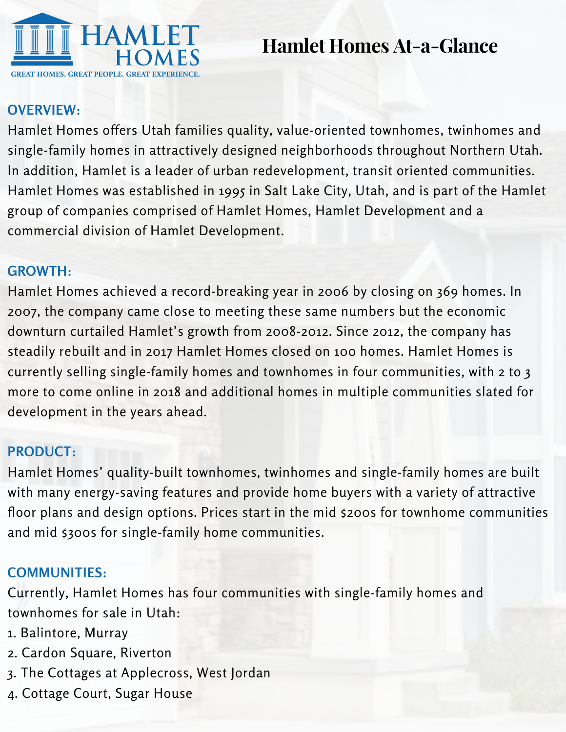

**Hamlet Homes At-a-Glance**

#### **OVERVIEW:**

Hamlet Homes offers Utah families quality, value-oriented townhomes, twinhomes and single-family homes in attractively designed neighborhoods throughout Northern Utah. In addition, Hamlet is a leader of urban redevelopment, transit oriented communities. Hamlet Homes was established in 1995 in Salt Lake City, Utah, and is part of the Hamlet group of companies comprised of Hamlet Homes, Hamlet Development and a commercial division of Hamlet Development.

#### **GROWTH:**

Hamlet Homes achieved a record-breaking year in 2006 by closing on 369 homes. In 2007, the company came close to meeting these same numbers but the economic downturn curtailed Hamlet's growth from 2008-2012. Since 2012, the company has steadily rebuilt and in 2017 Hamlet Homes closed on 100 homes. Hamlet Homes is currently selling single-family homes and townhomes in four communities, with 2 to 3 more to come online in 2018 and additional homes in multiple communities slated for development in the years ahead.

# **PRODUCT:**

Hamlet Homes' quality-built townhomes, twinhomes and single-family homes are built with many energy-saving features and provide home buyers with a variety of attractive floor plans and design options. Prices start in the mid \$200s for townhome communities and mid \$300s for single-family home communities.

# **COMMUNITIES:**

Currently, Hamlet Homes has four communities with single-family homes and townhomes for sale in Utah:

- 1. Balintore, Murray
- 2. Cardon Square, Riverton
- 3. The Cottages at Applecross, West Jordan
- 4. Cottage Court, Sugar House